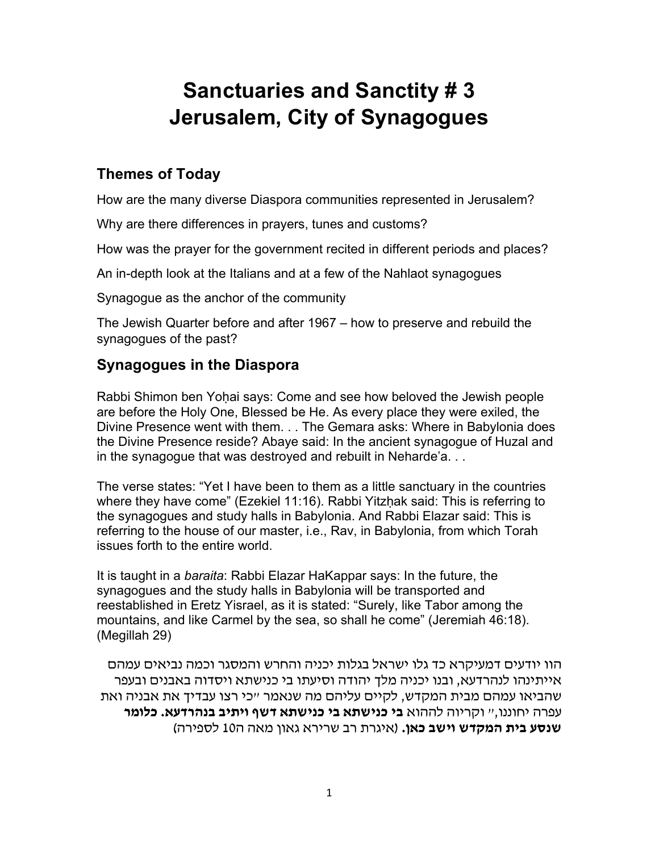## **Sanctuaries and Sanctity # 3 Jerusalem, City of Synagogues**

## **Themes of Today**

How are the many diverse Diaspora communities represented in Jerusalem?

Why are there differences in prayers, tunes and customs?

How was the prayer for the government recited in different periods and places?

An in-depth look at the Italians and at a few of the Nahlaot synagogues

Synagogue as the anchor of the community

The Jewish Quarter before and after 1967 – how to preserve and rebuild the synagogues of the past?

## **Synagogues in the Diaspora**

Rabbi Shimon ben Yoḥai says: Come and see how beloved the Jewish people are before the Holy One, Blessed be He. As every place they were exiled, the Divine Presence went with them. . . The Gemara asks: Where in Babylonia does the Divine Presence reside? Abaye said: In the ancient synagogue of Huzal and in the synagogue that was destroyed and rebuilt in Neharde'a. . .

The verse states: "Yet I have been to them as a little sanctuary in the countries where they have come" (Ezekiel 11:16). Rabbi Yitzhak said: This is referring to the synagogues and study halls in Babylonia. And Rabbi Elazar said: This is referring to the house of our master, i.e., Rav, in Babylonia, from which Torah issues forth to the entire world.

It is taught in a *baraita*: Rabbi Elazar HaKappar says: In the future, the synagogues and the study halls in Babylonia will be transported and reestablished in Eretz Yisrael, as it is stated: "Surely, like Tabor among the mountains, and like Carmel by the sea, so shall he come" (Jeremiah 46:18). (Megillah 29)

הוו יודעים דמעיקרא כד גלו ישראל בגלות יכניה והחרש והמסגר וכמה נביאים עמהם אייתינהו לנהרדעא, ובנו יכניה מלך יהודה וסיעתו בי כנישתא ויסדוה באבנים ובעפר שהביאו עמהם מבית המקדש, לקיים עליהם מה שנאמר ״כי רצו עבדיך את אבניה ואת עפרה יחוננו,״ וקריוה לההוא **בי כנישתא בי כנישתא דשף ויתיב בנהרדעא. כלומר שנסע בית המקדש וישב כאן.** (איגרת רב שרירא גאון מאה ה10 לספירה)